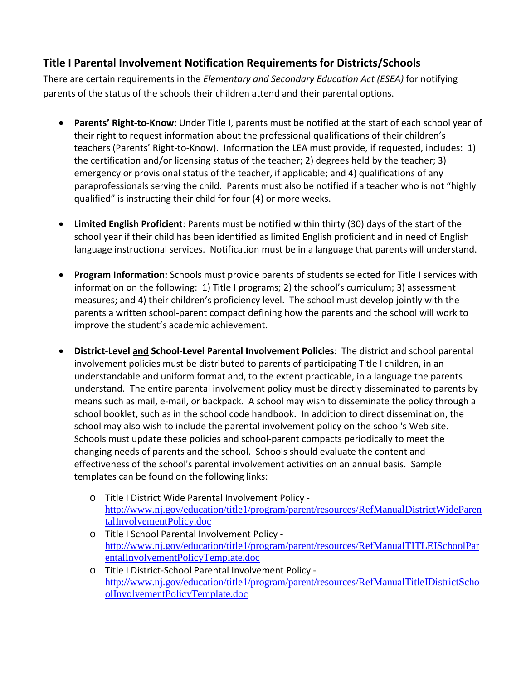## **Title I Parental Involvement Notification Requirements for Districts/Schools**

There are certain requirements in the *Elementary and Secondary Education Act (ESEA)* for notifying parents of the status of the schools their children attend and their parental options.

- **Parents' Right-to-Know**: Under Title I, parents must be notified at the start of each school year of their right to request information about the professional qualifications of their children's teachers (Parents' Right-to-Know). Information the LEA must provide, if requested, includes: 1) the certification and/or licensing status of the teacher; 2) degrees held by the teacher; 3) emergency or provisional status of the teacher, if applicable; and 4) qualifications of any paraprofessionals serving the child. Parents must also be notified if a teacher who is not "highly qualified" is instructing their child for four (4) or more weeks.
- **Limited English Proficient**: Parents must be notified within thirty (30) days of the start of the school year if their child has been identified as limited English proficient and in need of English language instructional services. Notification must be in a language that parents will understand.
- **Program Information:** Schools must provide parents of students selected for Title I services with information on the following: 1) Title I programs; 2) the school's curriculum; 3) assessment measures; and 4) their children's proficiency level. The school must develop jointly with the parents a written school-parent compact defining how the parents and the school will work to improve the student's academic achievement.
- **District-Level and School-Level Parental Involvement Policies**: The district and school parental involvement policies must be distributed to parents of participating Title I children, in an understandable and uniform format and, to the extent practicable, in a language the parents understand. The entire parental involvement policy must be directly disseminated to parents by means such as mail, e-mail, or backpack. A school may wish to disseminate the policy through a school booklet, such as in the school code handbook. In addition to direct dissemination, the school may also wish to include the parental involvement policy on the school's Web site. Schools must update these policies and school-parent compacts periodically to meet the changing needs of parents and the school. Schools should evaluate the content and effectiveness of the school's parental involvement activities on an annual basis. Sample templates can be found on the following links:
	- o Title I District Wide Parental Involvement Policy [http://www.nj.gov/education/title1/program/parent/resources/RefManualDistrictWideParen](http://www.nj.gov/education/title1/program/parent/resources/RefManualDistrictWideParentalInvolvementPolicy.doc) [talInvolvementPolicy.doc](http://www.nj.gov/education/title1/program/parent/resources/RefManualDistrictWideParentalInvolvementPolicy.doc)
	- o Title I School Parental Involvement Policy [http://www.nj.gov/education/title1/program/parent/resources/RefManualTITLEISchoolPar](http://www.nj.gov/education/title1/program/parent/resources/RefManualTITLEISchoolParentalInvolvementPolicyTemplate.doc) [entalInvolvementPolicyTemplate.doc](http://www.nj.gov/education/title1/program/parent/resources/RefManualTITLEISchoolParentalInvolvementPolicyTemplate.doc)
	- o Title I District-School Parental Involvement Policy [http://www.nj.gov/education/title1/program/parent/resources/RefManualTitleIDistrictScho](http://www.nj.gov/education/title1/program/parent/resources/RefManualTitleIDistrictSchoolInvolvementPolicyTemplate.doc) [olInvolvementPolicyTemplate.doc](http://www.nj.gov/education/title1/program/parent/resources/RefManualTitleIDistrictSchoolInvolvementPolicyTemplate.doc)